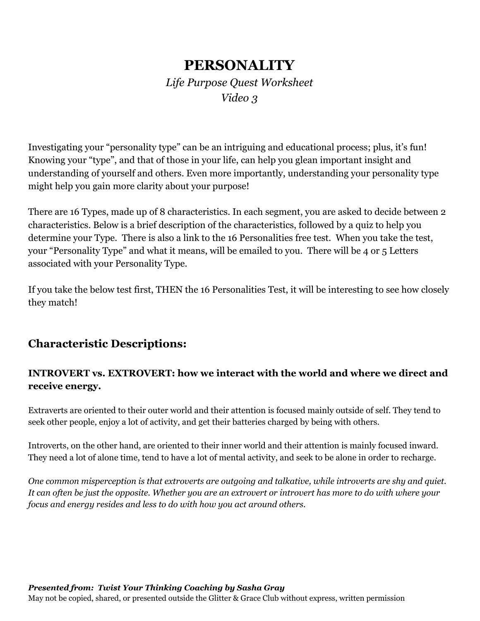# **PERSONALITY**

*Life Purpose Quest Worksheet Video 3*

Investigating your "personality type" can be an intriguing and educational process; plus, it's fun! Knowing your "type", and that of those in your life, can help you glean important insight and understanding of yourself and others. Even more importantly, understanding your personality type might help you gain more clarity about your purpose!

There are 16 Types, made up of 8 characteristics. In each segment, you are asked to decide between 2 characteristics. Below is a brief description of the characteristics, followed by a quiz to help you determine your Type. There is also a link to the 16 Personalities free test. When you take the test, your "Personality Type" and what it means, will be emailed to you. There will be 4 or 5 Letters associated with your Personality Type.

If you take the below test first, THEN the 16 Personalities Test, it will be interesting to see how closely they match!

## **Characteristic Descriptions:**

#### **INTROVERT vs. EXTROVERT: how we interact with the world and where we direct and receive energy.**

Extraverts are oriented to their outer world and their attention is focused mainly outside of self. They tend to seek other people, enjoy a lot of activity, and get their batteries charged by being with others.

Introverts, on the other hand, are oriented to their inner world and their attention is mainly focused inward. They need a lot of alone time, tend to have a lot of mental activity, and seek to be alone in order to recharge.

*One common misperception is that extroverts are outgoing and talkative, while introverts are shy and quiet.* It can often be just the opposite. Whether you are an extrovert or introvert has more to do with where your *focus and energy resides and less to do with how you act around others.*

#### *Presented from: Twist Your Thinking Coaching by Sasha Gray*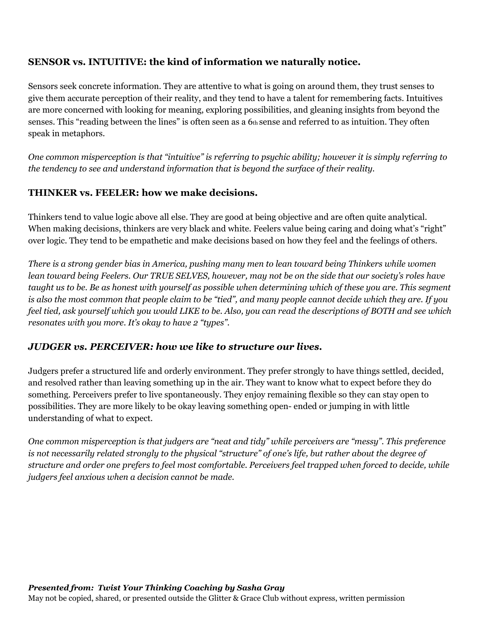#### **SENSOR vs. INTUITIVE: the kind of information we naturally notice.**

Sensors seek concrete information. They are attentive to what is going on around them, they trust senses to give them accurate perception of their reality, and they tend to have a talent for remembering facts. Intuitives are more concerned with looking for meaning, exploring possibilities, and gleaning insights from beyond the senses. This "reading between the lines" is often seen as a 6th sense and referred to as intuition. They often speak in metaphors.

One common misperception is that "intuitive" is referring to psychic ability; however it is simply referring to *the tendency to see and understand information that is beyond the surface of their reality.*

#### **THINKER vs. FEELER: how we make decisions.**

Thinkers tend to value logic above all else. They are good at being objective and are often quite analytical. When making decisions, thinkers are very black and white. Feelers value being caring and doing what's "right" over logic. They tend to be empathetic and make decisions based on how they feel and the feelings of others.

There is a strong gender bias in America, pushing many men to lean toward being Thinkers while women lean toward being Feelers. Our TRUE SELVES, however, may not be on the side that our society's roles have taught us to be. Be as honest with yourself as possible when determining which of these you are. This segment is also the most common that people claim to be "tied", and many people cannot decide which they are. If you feel tied, ask yourself which you would LIKE to be. Also, you can read the descriptions of BOTH and see which *resonates with you more. It's okay to have 2 "types".*

#### *JUDGER vs. PERCEIVER: how we like to structure our lives.*

Judgers prefer a structured life and orderly environment. They prefer strongly to have things settled, decided, and resolved rather than leaving something up in the air. They want to know what to expect before they do something. Perceivers prefer to live spontaneously. They enjoy remaining flexible so they can stay open to possibilities. They are more likely to be okay leaving something open- ended or jumping in with little understanding of what to expect.

*One common misperception is that judgers are "neat and tidy" while perceivers are "messy". This preference* is not necessarily related strongly to the physical "structure" of one's life, but rather about the degree of structure and order one prefers to feel most comfortable. Perceivers feel trapped when forced to decide, while *judgers feel anxious when a decision cannot be made.*

#### *Presented from: Twist Your Thinking Coaching by Sasha Gray*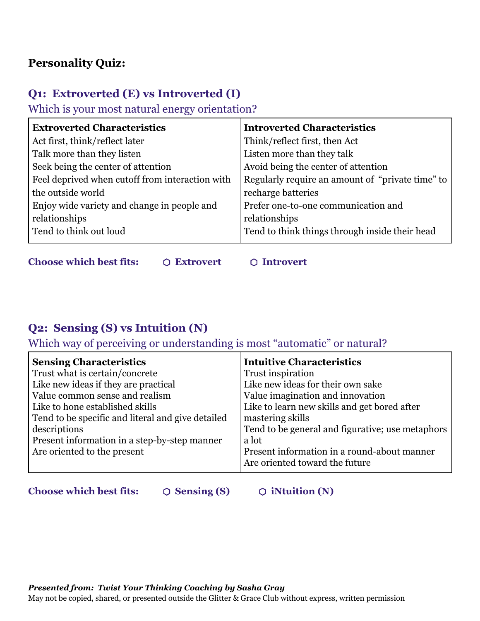## **Personality Quiz:**

## **Q1: Extroverted (E) vs Introverted (I)**

Which is your most natural energy orientation?

| <b>Extroverted Characteristics</b>              | <b>Introverted Characteristics</b>               |
|-------------------------------------------------|--------------------------------------------------|
| Act first, think/reflect later                  | Think/reflect first, then Act                    |
| Talk more than they listen                      | Listen more than they talk                       |
| Seek being the center of attention              | Avoid being the center of attention              |
| Feel deprived when cutoff from interaction with | Regularly require an amount of "private time" to |
| the outside world                               | recharge batteries                               |
| Enjoy wide variety and change in people and     | Prefer one-to-one communication and              |
| relationships                                   | relationships                                    |
| Tend to think out loud                          | Tend to think things through inside their head   |
|                                                 |                                                  |

**Choose which best fits:**  $\bigcirc$  Extrovert  $\bigcirc$  Introvert

# **Q2: Sensing (S) vs Intuition (N)**

Which way of perceiving or understanding is most "automatic" or natural?

| <b>Intuitive Characteristics</b>                 |
|--------------------------------------------------|
| Trust inspiration                                |
| Like new ideas for their own sake                |
| Value imagination and innovation                 |
| Like to learn new skills and get bored after     |
| mastering skills                                 |
| Tend to be general and figurative; use metaphors |
| a lot                                            |
| Present information in a round-about manner      |
| Are oriented toward the future                   |
|                                                  |

**Choose which best fits:**  $\bigcirc$  Sensing (S)  $\bigcirc$  iNtuition (N)